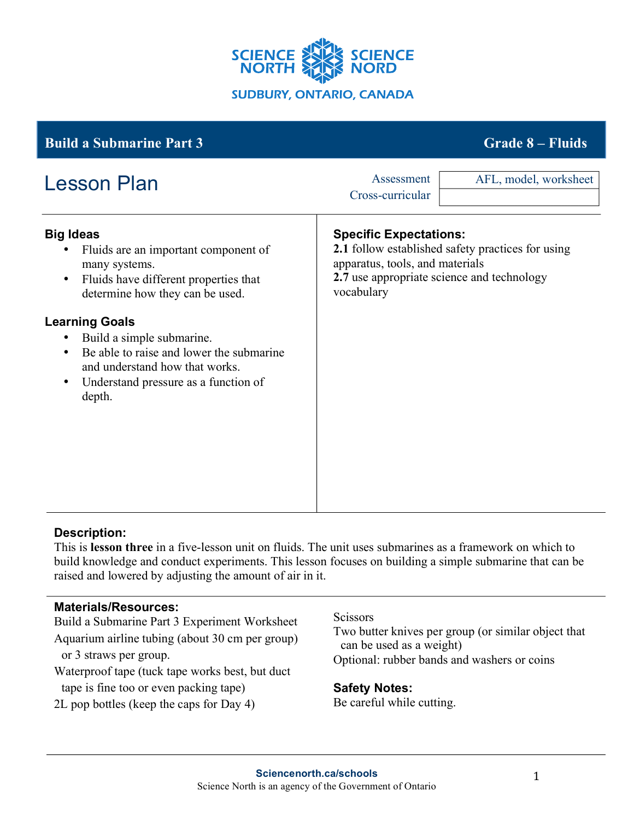

# **Big Ideas** • Fluids are an important component of many systems. • Fluids have different properties that determine how they can be used. **Learning Goals** • Build a simple submarine. • Be able to raise and lower the submarine and understand how that works. • Understand pressure as a function of depth. **Specific Expectations: 2.1** follow established safety practices for using apparatus, tools, and materials **2.7** use appropriate science and technology vocabulary **Build a Submarine Part 3 Grade 8 – Fluids** Lesson Plan Assessment Cross-curricular AFL, model, worksheet

# **Description:**

This is **lesson three** in a five-lesson unit on fluids. The unit uses submarines as a framework on which to build knowledge and conduct experiments. This lesson focuses on building a simple submarine that can be raised and lowered by adjusting the amount of air in it.

### **Materials/Resources:**

Build a Submarine Part 3 Experiment Worksheet Aquarium airline tubing (about 30 cm per group) or 3 straws per group.

Waterproof tape (tuck tape works best, but duct tape is fine too or even packing tape)

2L pop bottles (keep the caps for Day 4)

#### **Scissors**

Two butter knives per group (or similar object that can be used as a weight) Optional: rubber bands and washers or coins

### **Safety Notes:**

Be careful while cutting.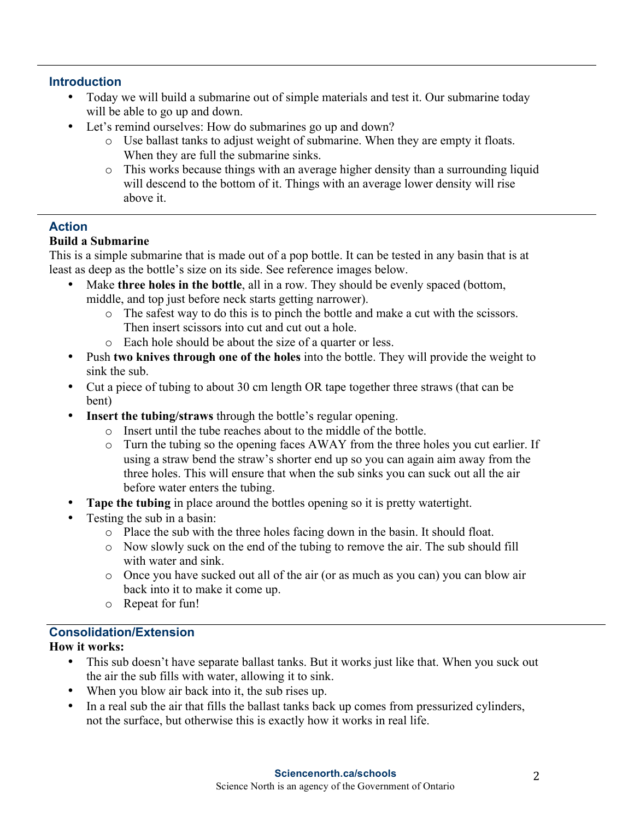### **Introduction**

- Today we will build a submarine out of simple materials and test it. Our submarine today will be able to go up and down.
- Let's remind ourselves: How do submarines go up and down?
	- o Use ballast tanks to adjust weight of submarine. When they are empty it floats. When they are full the submarine sinks.
	- o This works because things with an average higher density than a surrounding liquid will descend to the bottom of it. Things with an average lower density will rise above it.

# **Action**

# **Build a Submarine**

This is a simple submarine that is made out of a pop bottle. It can be tested in any basin that is at least as deep as the bottle's size on its side. See reference images below.

- Make **three holes in the bottle**, all in a row. They should be evenly spaced (bottom, middle, and top just before neck starts getting narrower).
	- o The safest way to do this is to pinch the bottle and make a cut with the scissors. Then insert scissors into cut and cut out a hole.
	- o Each hole should be about the size of a quarter or less.
- Push **two knives through one of the holes** into the bottle. They will provide the weight to sink the sub.
- Cut a piece of tubing to about 30 cm length OR tape together three straws (that can be bent)
- **Insert the tubing/straws** through the bottle's regular opening.
	- o Insert until the tube reaches about to the middle of the bottle.
	- o Turn the tubing so the opening faces AWAY from the three holes you cut earlier. If using a straw bend the straw's shorter end up so you can again aim away from the three holes. This will ensure that when the sub sinks you can suck out all the air before water enters the tubing.
- **Tape the tubing** in place around the bottles opening so it is pretty watertight.
- Testing the sub in a basin:
	- o Place the sub with the three holes facing down in the basin. It should float.
	- o Now slowly suck on the end of the tubing to remove the air. The sub should fill with water and sink.
	- o Once you have sucked out all of the air (or as much as you can) you can blow air back into it to make it come up.
	- o Repeat for fun!

# **Consolidation/Extension**

### **How it works:**

- This sub doesn't have separate ballast tanks. But it works just like that. When you suck out the air the sub fills with water, allowing it to sink.
- When you blow air back into it, the sub rises up.
- In a real sub the air that fills the ballast tanks back up comes from pressurized cylinders, not the surface, but otherwise this is exactly how it works in real life.